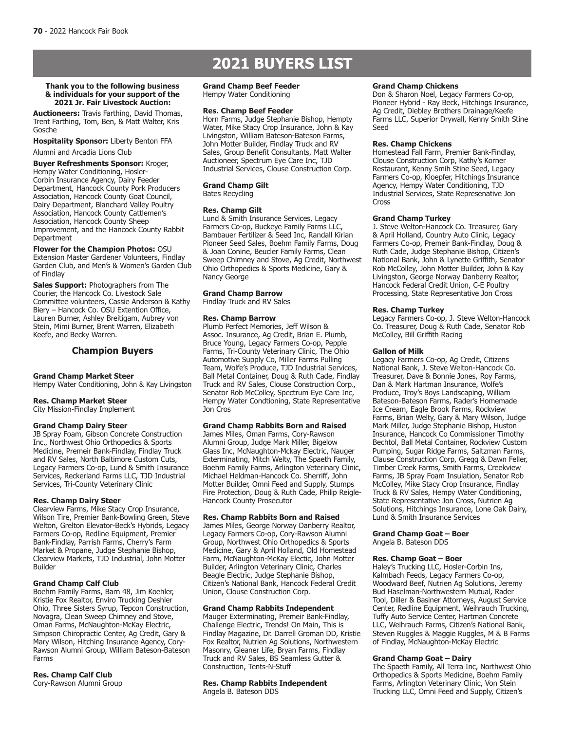# **2021 BUYERS LIST**

#### **Thank you to the following business & individuals for your support of the 2021 Jr. Fair Livestock Auction:**

**Auctioneers:** Travis Farthing, David Thomas, Trent Farthing, Tom, Ben, & Matt Walter, Kris Gosche

**Hospitality Sponsor:** Liberty Benton FFA Alumni and Arcadia Lions Club

**Buyer Refreshments Sponsor:** Kroger, Hempy Water Conditioning, Hosler-Corbin Insurance Agency, Dairy Feeder Department, Hancock County Pork Producers Association, Hancock County Goat Council, Dairy Department, Blanchard Valley Poultry Association, Hancock County Cattlemen's Association, Hancock County Sheep Improvement, and the Hancock County Rabbit Department

**Flower for the Champion Photos:** OSU Extension Master Gardener Volunteers, Findlay Garden Club, and Men's & Women's Garden Club of Findlay

**Sales Support:** Photographers from The Courier, the Hancock Co. Livestock Sale Committee volunteers, Cassie Anderson & Kathy Biery – Hancock Co. OSU Extention Office, Lauren Burner, Ashley Breitigam, Aubrey von Stein, Mimi Burner, Brent Warren, Elizabeth Keefe, and Becky Warren.

# **Champion Buyers**

### **Grand Champ Market Steer**

Hempy Water Conditioning, John & Kay Livingston

#### **Res. Champ Market Steer**

City Mission-Findlay Implement

### **Grand Champ Dairy Steer**

JB Spray Foam, Gibson Concrete Construction Inc., Northwest Ohio Orthopedics & Sports Medicine, Premeir Bank-Findlay, Findlay Truck and RV Sales, North Baltimore Custom Cuts, Legacy Farmers Co-op, Lund & Smith Insurance Services, Reckerland Farms LLC, TJD Industrial Services, Tri-County Veterinary Clinic

## **Res. Champ Dairy Steer**

Clearview Farms, Mike Stacy Crop Insurance, Wilson Tire, Premier Bank-Bowling Green, Steve Welton, Grelton Elevator-Beck's Hybrids, Legacy Farmers Co-op, Redline Equipment, Premier Bank-Findlay, Parrish Farms, Cherry's Farm Market & Propane, Judge Stephanie Bishop, Clearview Markets, TJD Industrial, John Motter Builder

#### **Grand Champ Calf Club**

Boehm Family Farms, Barn 48, Jim Koehler, Kristie Fox Realtor, Enviro Trucking Deshler Ohio, Three Sisters Syrup, Tepcon Construction, Novagra, Clean Sweep Chimney and Stove, Oman Farms, McNaughton-McKay Electric, Simpson Chiropractic Center, Ag Credit, Gary & Mary Wilson, Hitching Insurance Agency, Cory-Rawson Alumni Group, William Bateson-Bateson Farms

# **Res. Champ Calf Club**

Cory-Rawson Alumni Group

# **Grand Champ Beef Feeder**

Hempy Water Conditioning

#### **Res. Champ Beef Feeder**

Horn Farms, Judge Stephanie Bishop, Hempty Water, Mike Stacy Crop Insurance, John & Kay Livingston, William Bateson-Bateson Farms, John Motter Builder, Findlay Truck and RV Sales, Group Benefit Consultants, Matt Walter Auctioneer, Spectrum Eye Care Inc, TJD Industrial Services, Clouse Construction Corp.

**Grand Champ Gilt** Bates Recycling

#### **Res. Champ Gilt**

Lund & Smith Insurance Services, Legacy Farmers Co-op, Buckeye Family Farms LLC, Bambauer Fertilizer & Seed Inc, Randall Kirian Pioneer Seed Sales, Boehm Family Farms, Doug & Joan Conine, Beucler Family Farms, Clean Sweep Chimney and Stove, Ag Credit, Northwest Ohio Orthopedics & Sports Medicine, Gary & Nancy George

# **Grand Champ Barrow**

Findlay Truck and RV Sales

## **Res. Champ Barrow**

Plumb Perfect Memories, Jeff Wilson & Assoc. Insurance, Ag Credit, Brian E. Plumb, Bruce Young, Legacy Farmers Co-op, Pepple Farms, Tri-County Veterinary Clinic, The Ohio Automotive Supply Co, Miller Farms Pulling Team, Wolfe's Produce, TJD Industrial Services, Ball Metal Container, Doug & Ruth Cade, Findlay Truck and RV Sales, Clouse Construction Corp., Senator Rob McColley, Spectrum Eye Care Inc, Hempy Water Condtioning, State Representative Jon Cros

### **Grand Champ Rabbits Born and Raised**

James Miles, Oman Farms, Cory-Rawson Alumni Group, Judge Mark Miller, Bigelow Glass Inc, McNaughton-Mckay Electric, Nauger Exterminating, Mitch Welty, The Spaeth Family, Boehm Family Farms, Arlington Veterinary Clinic, Michael Heldman-Hancock Co. Sherriff, John Motter Builder, Omni Feed and Supply, Stumps Fire Protection, Doug & Ruth Cade, Philip Reigle-Hancock County Prosecutor

#### **Res. Champ Rabbits Born and Raised**

James Miles, George Norway Danberry Realtor, Legacy Farmers Co-op, Cory-Rawson Alumni Group, Northwest Ohio Orthopedics & Sports Medicine, Gary & April Holland, Old Homestead Farm, McNaughton-McKay Electic, John Motter Builder, Arlington Veterinary Clinic, Charles Beagle Electric, Judge Stephanie Bishop, Citizen's National Bank, Hancock Federal Credit Union, Clouse Construction Corp.

#### **Grand Champ Rabbits Independent**

Mauger Exterminating, Premeir Bank-Findlay, Challenge Electric, Trends! On Main, This is Findlay Magazine, Dr. Darrell Groman DD, Kristie Fox Realtor, Nutrien Ag Solutions, Northwestern Masonry, Gleaner Life, Bryan Farms, Findlay Truck and RV Sales, BS Seamless Gutter & Construction, Tents-N-Stuff

#### **Res. Champ Rabbits Independent** Angela B. Bateson DDS

#### **Grand Champ Chickens**

Don & Sharon Noel, Legacy Farmers Co-op, Pioneer Hybrid - Ray Beck, Hitchings Insurance, Ag Credit, Diebley Brothers Drainage/Keefe Farms LLC, Superior Drywall, Kenny Smith Stine Seed

#### **Res. Champ Chickens**

Homestead Fall Farm, Premier Bank-Findlay, Clouse Construction Corp, Kathy's Korner Restaurant, Kenny Smih Stine Seed, Legacy Farmers Co-op, Kloepfer, Hitchings Insurance Agency, Hempy Water Conditioning, TJD Industrial Services, State Represenative Jon Cross

#### **Grand Champ Turkey**

J. Steve Welton-Hancock Co. Treasurer, Gary & April Holland, Country Auto Clinic, Legacy Farmers Co-op, Premeir Bank-Findlay, Doug & Ruth Cade, Judge Stephanie Bishop, Citizen's National Bank, John & Lynette Griffith, Senator Rob McColley, John Motter Builder, John & Kay Livingston, George Norway Danberry Realtor, Hancock Federal Credit Union, C-E Poultry Processing, State Representative Jon Cross

#### **Res. Champ Turkey**

Legacy Farmers Co-op, J. Steve Welton-Hancock Co. Treasurer, Doug & Ruth Cade, Senator Rob McColley, Bill Griffith Racing

#### **Gallon of Milk**

Legacy Farmers Co-op, Ag Credit, Citizens National Bank, J. Steve Welton-Hancock Co. Treasurer, Dave & Bonnie Jones, Roy Farms, Dan & Mark Hartman Insurance, Wolfe's Produce, Troy's Boys Landscaping, William Bateson-Bateson Farms, Rader's Homemade Ice Cream, Eagle Brook Farms, Rockview Farms, Brian Welty, Gary & Mary Wilson, Judge Mark Miller, Judge Stephanie Bishop, Huston Insurance, Hancock Co Commissioner Timothy Bechtol, Ball Metal Container, Rockview Custom Pumping, Sugar Ridge Farms, Saltzman Farms, Clause Construction Corp, Gregg & Dawn Feller, Timber Creek Farms, Smith Farms, Creekview Farms, JB Spray Foam Insulation, Senator Rob McColley, Mike Stacy Crop Insurance, Findlay Truck & RV Sales, Hempy Water Conditioning, State Representative Jon Cross, Nutrien Ag Solutions, Hitchings Insurance, Lone Oak Dairy, Lund & Smith Insurance Services

#### **Grand Champ Goat – Boer**

Angela B. Bateson DDS

#### **Res. Champ Goat – Boer**

Haley's Trucking LLC, Hosler-Corbin Ins, Kalmbach Feeds, Legacy Farmers Co-op, Woodward Beef, Nutrien Ag Solutions, Jeremy Bud Haselman-Northwestern Mutual, Rader Tool, Diller & Basiner Attorneys, August Service Center, Redline Equipment, Weihrauch Trucking, Tuffy Auto Service Center, Hartman Concrete LLC, Weihrauch Farms, Citizen's National Bank, Steven Ruggles & Maggie Ruggles, M & B Farms of Findlay, McNaughton-McKay Electric

#### **Grand Champ Goat – Dairy**

The Spaeth Family, All Terra Inc, Northwest Ohio Orthopedics & Sports Medicine, Boehm Family Farms, Arlington Veterinary Clinic, Von Stein Trucking LLC, Omni Feed and Supply, Citizen's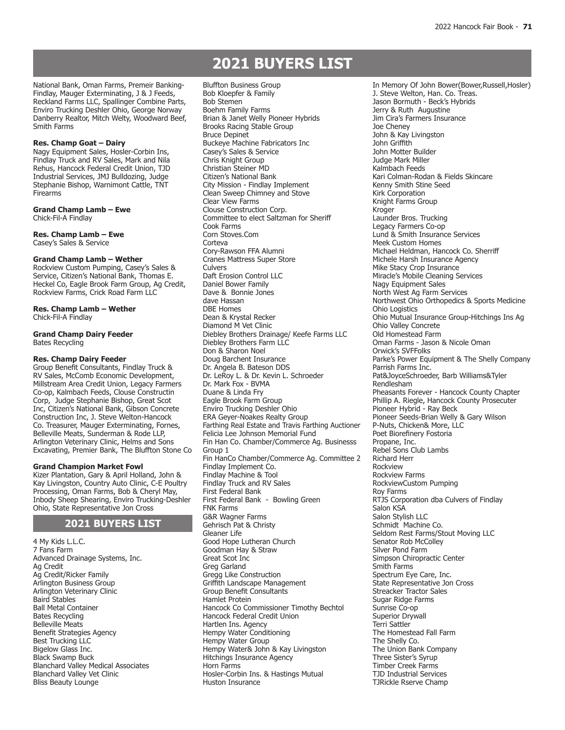# **BAKING, CANNING & CANDY 2021 BUYERS LIST**

National Bank, Oman Farms, Premeir Banking-Findlay, Mauger Exterminating, J & J Feeds, Reckland Farms LLC, Spallinger Combine Parts, Enviro Trucking Deshler Ohio, George Norway Danberry Realtor, Mitch Welty, Woodward Beef, Smith Farms

## **Res. Champ Goat – Dairy**

Nagy Equipment Sales, Hosler-Corbin Ins, Findlay Truck and RV Sales, Mark and Nila Rehus, Hancock Federal Credit Union, TJD Industrial Services, JMJ Bulldozing, Judge Stephanie Bishop, Warnimont Cattle, TNT Firearms

**Grand Champ Lamb – Ewe** Chick-Fil-A Findlay

**Res. Champ Lamb – Ewe** Casey's Sales & Service

#### **Grand Champ Lamb – Wether**

Rockview Custom Pumping, Casey's Sales & Service, Citizen's National Bank, Thomas E. Heckel Co, Eagle Brook Farm Group, Ag Credit, Rockview Farms, Crick Road Farm LLC

**Res. Champ Lamb – Wether** Chick-Fil-A Findlay

### **Grand Champ Dairy Feeder** Bates Recycling

# **Res. Champ Dairy Feeder**

Group Benefit Consultants, Findlay Truck & RV Sales, McComb Economic Development, Millstream Area Credit Union, Legacy Farmers Co-op, Kalmbach Feeds, Clouse Constructin Corp, Judge Stephanie Bishop, Great Scot Inc, Citizen's National Bank, Gibson Concrete Construction Inc, J. Steve Welton-Hancock Co. Treasurer, Mauger Exterminating, Fornes, Belleville Meats, Sunderman & Rode LLP, Arlington Veterinary Clinic, Helms and Sons Excavating, Premier Bank, The Bluffton Stone Co

#### **Grand Champion Market Fowl**

Kizer Plantation, Gary & April Holland, John & Kay Livingston, Country Auto Clinic, C-E Poultry Processing, Oman Farms, Bob & Cheryl May, Inbody Sheep Shearing, Enviro Trucking-Deshler Ohio, State Representative Jon Cross

# **2021 BUYERS LIST**

4 My Kids L.L.C. 7 Fans Farm Advanced Drainage Systems, Inc. Ag Credit Ag Credit/Ricker Family Arlington Business Group Arlington Veterinary Clinic Baird Stables Ball Metal Container Bates Recycling Belleville Meats Benefit Strategies Agency Best Trucking LLC Bigelow Glass Inc. Black Swamp Buck Blanchard Valley Medical Associates Blanchard Valley Vet Clinic Bliss Beauty Lounge

Bluffton Business Group Bob Kloepfer & Family Bob Stemen Boehm Family Farms Brian & Janet Welly Pioneer Hybrids Brooks Racing Stable Group Bruce Depinet Buckeye Machine Fabricators Inc Casey's Sales & Service Chris Knight Group Christian Steiner MD Citizen's National Bank City Mission - Findlay Implement Clean Sweep Chimney and Stove Clear View Farms Clouse Construction Corp. Committee to elect Saltzman for Sheriff Cook Farms Corn Stoves.Com Corteva Cory-Rawson FFA Alumni Cranes Mattress Super Store Culvers Daft Erosion Control LLC Daniel Bower Family Dave & Bonnie Jones dave Hassan DBE Homes Dean & Krystal Recker Diamond M Vet Clinic Diebley Brothers Drainage/ Keefe Farms LLC Diebley Brothers Farm LLC Don & Sharon Noel Doug Barchent Insurance Dr. Angela B. Bateson DDS Dr. LeRoy L. & Dr. Kevin L. Schroeder Dr. Mark Fox - BVMA Duane & Linda Fry Eagle Brook Farm Group Enviro Trucking Deshler Ohio ERA Geyer-Noakes Realty Group Farthing Real Estate and Travis Farthing Auctioner Felicia Lee Johnson Memorial Fund Fin Han Co. Chamber/Commerce Ag. Businesss Group 1 Fin HanCo Chamber/Commerce Ag. Committee 2 Findlay Implement Co. Findlay Machine & Tool Findlay Truck and RV Sales First Federal Bank First Federal Bank - Bowling Green FNK Farms G&R Wagner Farms Gehrisch Pat & Christy Gleaner Life Good Hope Lutheran Church Goodman Hay & Straw Great Scot Inc Greg Garland Gregg Like Construction Griffith Landscape Management Group Benefit Consultants Hamlet Protein Hancock Co Commissioner Timothy Bechtol Hancock Federal Credit Union Hartlen Ins. Agency Hempy Water Conditioning Hempy Water Group Hempy Water& John & Kay Livingston Hitchings Insurance Agency Horn Farms Hosler-Corbin Ins. & Hastings Mutual Huston Insurance

In Memory Of John Bower(Bower,Russell,Hosler) J. Steve Welton, Han. Co. Treas. Jason Bormuth - Beck's Hybrids Jerry & Ruth Augustine Jim Cira's Farmers Insurance Joe Cheney John & Kay Livingston John Griffith John Motter Builder Judge Mark Miller Kalmbach Feeds Kari Colman-Rodan & Fields Skincare Kenny Smith Stine Seed Kirk Corporation Knight Farms Group Kroger Launder Bros. Trucking Legacy Farmers Co-op Lund & Smith Insurance Services Meek Custom Homes Michael Heldman, Hancock Co. Sherriff Michele Harsh Insurance Agency Mike Stacy Crop Insurance Miracle's Mobile Cleaning Services Nagy Equipment Sales North West Ag Farm Services Northwest Ohio Orthopedics & Sports Medicine Ohio Logistics Ohio Mutual Insurance Group-Hitchings Ins Ag Ohio Valley Concrete Old Homestead Farm Oman Farms - Jason & Nicole Oman Orwick's SVFFolks Parke's Power Equipment & The Shelly Company Parrish Farms Inc. Pat&JoyceSchroeder, Barb Williams&Tyler Rendlesham Pheasants Forever - Hancock County Chapter Phillip A. Riegle, Hancock County Prosecuter Pioneer Hybrid - Ray Beck Pioneer Seeds-Brian Welly & Gary Wilson P-Nuts, Chicken& More, LLC Poet Biorefinery Fostoria Propane, Inc. Rebel Sons Club Lambs Richard Herr Rockview Rockview Farms RockviewCustom Pumping Roy Farms RTJS Corporation dba Culvers of Findlay Salon KSA Salon Stylish LLC Schmidt Machine Co. Seldom Rest Farms/Stout Moving LLC Senator Rob McColley Silver Pond Farm Simpson Chiropractic Center Smith Farms Spectrum Eye Care, Inc. State Representative Jon Cross Streacker Tractor Sales Sugar Ridge Farms Sunrise Co-op Superior Drywall Terri Sattler The Homestead Fall Farm The Shelly Co. The Union Bank Company Three Sister's Syrup Timber Creek Farms TJD Industrial Services TJRickle Rserve Champ